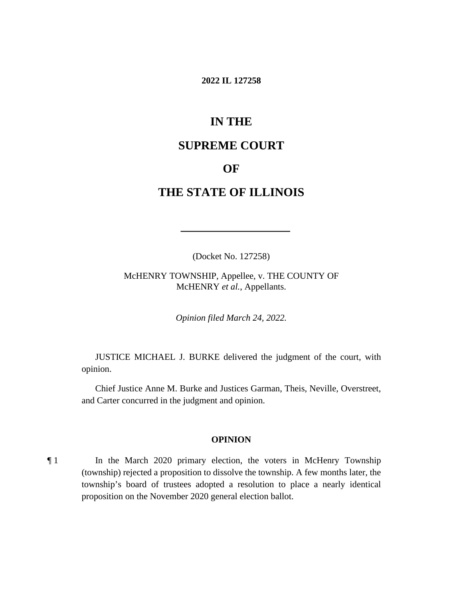#### **2022 IL 127258**

# **IN THE**

# **SUPREME COURT**

## **OF**

# **THE STATE OF ILLINOIS**

(Docket No. 127258)

McHENRY TOWNSHIP, Appellee, v. THE COUNTY OF McHENRY *et al.*, Appellants.

*Opinion filed March 24, 2022.*

JUSTICE MICHAEL J. BURKE delivered the judgment of the court, with opinion.

Chief Justice Anne M. Burke and Justices Garman, Theis, Neville, Overstreet, and Carter concurred in the judgment and opinion.

#### **OPINION**

¶ 1 In the March 2020 primary election, the voters in McHenry Township (township) rejected a proposition to dissolve the township. A few months later, the township's board of trustees adopted a resolution to place a nearly identical proposition on the November 2020 general election ballot.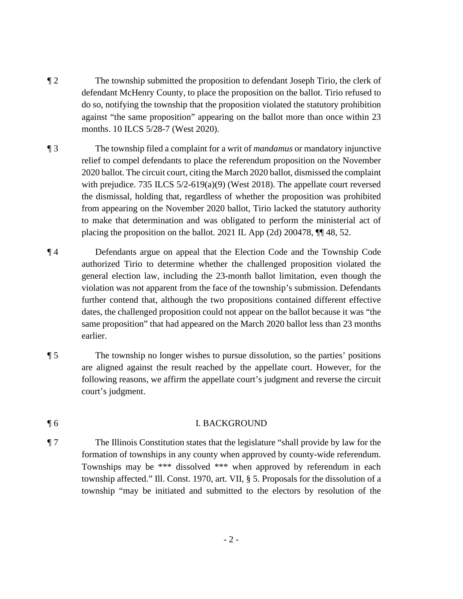- ¶ 2 The township submitted the proposition to defendant Joseph Tirio, the clerk of defendant McHenry County, to place the proposition on the ballot. Tirio refused to do so, notifying the township that the proposition violated the statutory prohibition against "the same proposition" appearing on the ballot more than once within 23 months. 10 ILCS 5/28-7 (West 2020).
- ¶ 3 The township filed a complaint for a writ of *mandamus* or mandatory injunctive relief to compel defendants to place the referendum proposition on the November 2020 ballot. The circuit court, citing the March 2020 ballot, dismissed the complaint with prejudice. 735 ILCS 5/2-619(a)(9) (West 2018). The appellate court reversed the dismissal, holding that, regardless of whether the proposition was prohibited from appearing on the November 2020 ballot, Tirio lacked the statutory authority to make that determination and was obligated to perform the ministerial act of placing the proposition on the ballot. 2021 IL App (2d) 200478, ¶¶ 48, 52.
- ¶ 4 Defendants argue on appeal that the Election Code and the Township Code authorized Tirio to determine whether the challenged proposition violated the general election law, including the 23-month ballot limitation, even though the violation was not apparent from the face of the township's submission. Defendants further contend that, although the two propositions contained different effective dates, the challenged proposition could not appear on the ballot because it was "the same proposition" that had appeared on the March 2020 ballot less than 23 months earlier.
- ¶ 5 The township no longer wishes to pursue dissolution, so the parties' positions are aligned against the result reached by the appellate court. However, for the following reasons, we affirm the appellate court's judgment and reverse the circuit court's judgment.

## ¶ 6 I. BACKGROUND

¶ 7 The Illinois Constitution states that the legislature "shall provide by law for the formation of townships in any county when approved by county-wide referendum. Townships may be \*\*\* dissolved \*\*\* when approved by referendum in each township affected." Ill. Const. 1970, art. VII, § 5. Proposals for the dissolution of a township "may be initiated and submitted to the electors by resolution of the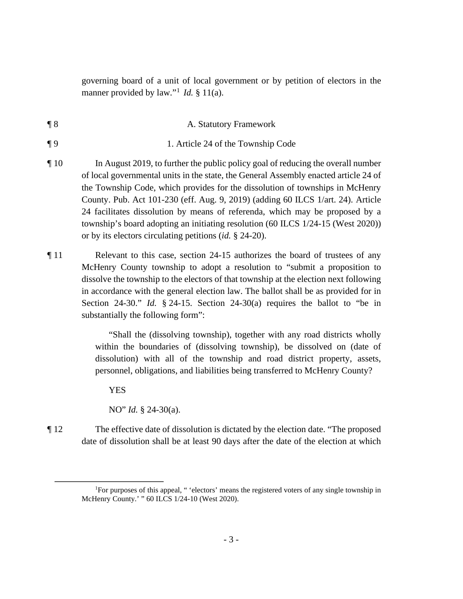governing board of a unit of local government or by petition of electors in the manner provided by law."<sup>1</sup> *Id.* § 11(a).

¶ 8 A. Statutory Framework

¶ 9 1. Article 24 of the Township Code

- ¶ 10 In August 2019, to further the public policy goal of reducing the overall number of local governmental units in the state, the General Assembly enacted article 24 of the Township Code, which provides for the dissolution of townships in McHenry County. Pub. Act 101-230 (eff. Aug. 9, 2019) (adding 60 ILCS 1/art. 24). Article 24 facilitates dissolution by means of referenda, which may be proposed by a township's board adopting an initiating resolution (60 ILCS 1/24-15 (West 2020)) or by its electors circulating petitions (*id.* § 24-20).
- ¶ 11 Relevant to this case, section 24-15 authorizes the board of trustees of any McHenry County township to adopt a resolution to "submit a proposition to dissolve the township to the electors of that township at the election next following in accordance with the general election law. The ballot shall be as provided for in Section 24-30." *Id.* § 24-15. Section 24-30(a) requires the ballot to "be in substantially the following form":

"Shall the (dissolving township), together with any road districts wholly within the boundaries of (dissolving township), be dissolved on (date of dissolution) with all of the township and road district property, assets, personnel, obligations, and liabilities being transferred to McHenry County?

YES

NO" *Id.* § 24-30(a).

¶ 12 The effective date of dissolution is dictated by the election date. "The proposed date of dissolution shall be at least 90 days after the date of the election at which

<sup>&</sup>lt;sup>1</sup>For purposes of this appeal, " 'electors' means the registered voters of any single township in McHenry County.' " 60 ILCS 1/24-10 (West 2020).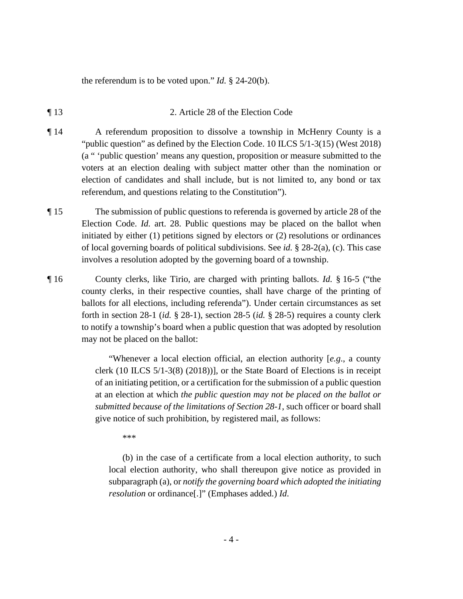the referendum is to be voted upon." *Id.* § 24-20(b).

- ¶ 13 2. Article 28 of the Election Code
- ¶ 14 A referendum proposition to dissolve a township in McHenry County is a "public question" as defined by the Election Code. 10 ILCS 5/1-3(15) (West 2018) (a " 'public question' means any question, proposition or measure submitted to the voters at an election dealing with subject matter other than the nomination or election of candidates and shall include, but is not limited to, any bond or tax referendum, and questions relating to the Constitution").
- ¶ 15 The submission of public questions to referenda is governed by article 28 of the Election Code. *Id.* art. 28. Public questions may be placed on the ballot when initiated by either (1) petitions signed by electors or (2) resolutions or ordinances of local governing boards of political subdivisions. See *id.* § 28-2(a), (c). This case involves a resolution adopted by the governing board of a township.
- ¶ 16 County clerks, like Tirio, are charged with printing ballots. *Id.* § 16-5 ("the county clerks, in their respective counties, shall have charge of the printing of ballots for all elections, including referenda"). Under certain circumstances as set forth in section 28-1 (*id.* § 28-1), section 28-5 (*id.* § 28-5) requires a county clerk to notify a township's board when a public question that was adopted by resolution may not be placed on the ballot:

"Whenever a local election official, an election authority [*e.g*., a county clerk (10 ILCS 5/1-3(8) (2018))], or the State Board of Elections is in receipt of an initiating petition, or a certification for the submission of a public question at an election at which *the public question may not be placed on the ballot or submitted because of the limitations of Section 28-1*, such officer or board shall give notice of such prohibition, by registered mail, as follows:

\*\*\*

(b) in the case of a certificate from a local election authority, to such local election authority, who shall thereupon give notice as provided in subparagraph (a), or *notify the governing board which adopted the initiating resolution* or ordinance[.]" (Emphases added.) *Id*.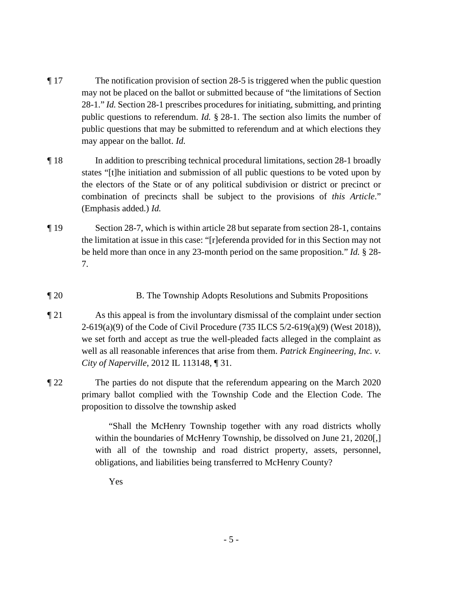- ¶ 17 The notification provision of section 28-5 is triggered when the public question may not be placed on the ballot or submitted because of "the limitations of Section 28-1." *Id.* Section 28-1 prescribes procedures for initiating, submitting, and printing public questions to referendum. *Id.* § 28-1. The section also limits the number of public questions that may be submitted to referendum and at which elections they may appear on the ballot. *Id.*
- ¶ 18 In addition to prescribing technical procedural limitations, section 28-1 broadly states "[t]he initiation and submission of all public questions to be voted upon by the electors of the State or of any political subdivision or district or precinct or combination of precincts shall be subject to the provisions of *this Article*." (Emphasis added.) *Id.*
- ¶ 19 Section 28-7, which is within article 28 but separate from section 28-1, contains the limitation at issue in this case: "[r]eferenda provided for in this Section may not be held more than once in any 23-month period on the same proposition." *Id.* § 28- 7.
- ¶ 20 B. The Township Adopts Resolutions and Submits Propositions
- ¶ 21 As this appeal is from the involuntary dismissal of the complaint under section 2-619(a)(9) of the Code of Civil Procedure (735 ILCS 5/2-619(a)(9) (West 2018)), we set forth and accept as true the well-pleaded facts alleged in the complaint as well as all reasonable inferences that arise from them. *Patrick Engineering, Inc. v. City of Naperville*, 2012 IL 113148, ¶ 31.
- ¶ 22 The parties do not dispute that the referendum appearing on the March 2020 primary ballot complied with the Township Code and the Election Code. The proposition to dissolve the township asked

"Shall the McHenry Township together with any road districts wholly within the boundaries of McHenry Township, be dissolved on June 21, 2020[,] with all of the township and road district property, assets, personnel, obligations, and liabilities being transferred to McHenry County?

Yes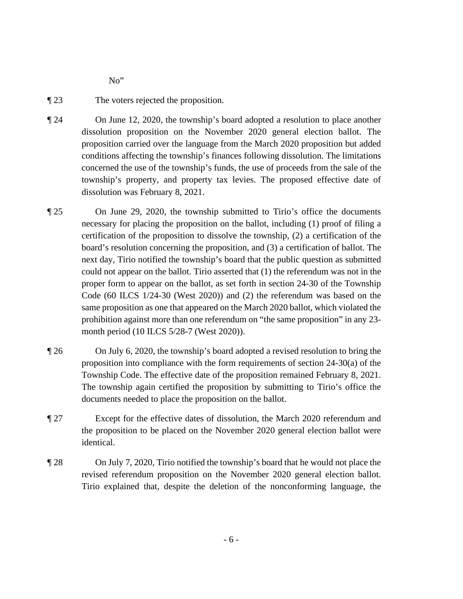No"

- ¶ 23 The voters rejected the proposition.
- ¶ 24 On June 12, 2020, the township's board adopted a resolution to place another dissolution proposition on the November 2020 general election ballot. The proposition carried over the language from the March 2020 proposition but added conditions affecting the township's finances following dissolution. The limitations concerned the use of the township's funds, the use of proceeds from the sale of the township's property, and property tax levies. The proposed effective date of dissolution was February 8, 2021.
- ¶ 25 On June 29, 2020, the township submitted to Tirio's office the documents necessary for placing the proposition on the ballot, including (1) proof of filing a certification of the proposition to dissolve the township, (2) a certification of the board's resolution concerning the proposition, and (3) a certification of ballot. The next day, Tirio notified the township's board that the public question as submitted could not appear on the ballot. Tirio asserted that (1) the referendum was not in the proper form to appear on the ballot, as set forth in section 24-30 of the Township Code (60 ILCS 1/24-30 (West 2020)) and (2) the referendum was based on the same proposition as one that appeared on the March 2020 ballot, which violated the prohibition against more than one referendum on "the same proposition" in any 23 month period (10 ILCS 5/28-7 (West 2020)).
- ¶ 26 On July 6, 2020, the township's board adopted a revised resolution to bring the proposition into compliance with the form requirements of section 24-30(a) of the Township Code. The effective date of the proposition remained February 8, 2021. The township again certified the proposition by submitting to Tirio's office the documents needed to place the proposition on the ballot.
- ¶ 27 Except for the effective dates of dissolution, the March 2020 referendum and the proposition to be placed on the November 2020 general election ballot were identical.
- ¶ 28 On July 7, 2020, Tirio notified the township's board that he would not place the revised referendum proposition on the November 2020 general election ballot. Tirio explained that, despite the deletion of the nonconforming language, the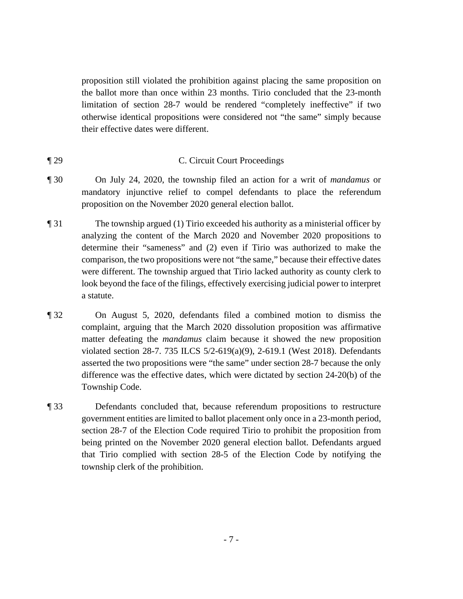proposition still violated the prohibition against placing the same proposition on the ballot more than once within 23 months. Tirio concluded that the 23-month limitation of section 28-7 would be rendered "completely ineffective" if two otherwise identical propositions were considered not "the same" simply because their effective dates were different.

## ¶ 29 C. Circuit Court Proceedings

- ¶ 30 On July 24, 2020, the township filed an action for a writ of *mandamus* or mandatory injunctive relief to compel defendants to place the referendum proposition on the November 2020 general election ballot.
- ¶ 31 The township argued (1) Tirio exceeded his authority as a ministerial officer by analyzing the content of the March 2020 and November 2020 propositions to determine their "sameness" and (2) even if Tirio was authorized to make the comparison, the two propositions were not "the same," because their effective dates were different. The township argued that Tirio lacked authority as county clerk to look beyond the face of the filings, effectively exercising judicial power to interpret a statute.
- ¶ 32 On August 5, 2020, defendants filed a combined motion to dismiss the complaint, arguing that the March 2020 dissolution proposition was affirmative matter defeating the *mandamus* claim because it showed the new proposition violated section 28-7. 735 ILCS 5/2-619(a)(9), 2-619.1 (West 2018). Defendants asserted the two propositions were "the same" under section 28-7 because the only difference was the effective dates, which were dictated by section 24-20(b) of the Township Code.
- ¶ 33 Defendants concluded that, because referendum propositions to restructure government entities are limited to ballot placement only once in a 23-month period, section 28-7 of the Election Code required Tirio to prohibit the proposition from being printed on the November 2020 general election ballot. Defendants argued that Tirio complied with section 28-5 of the Election Code by notifying the township clerk of the prohibition.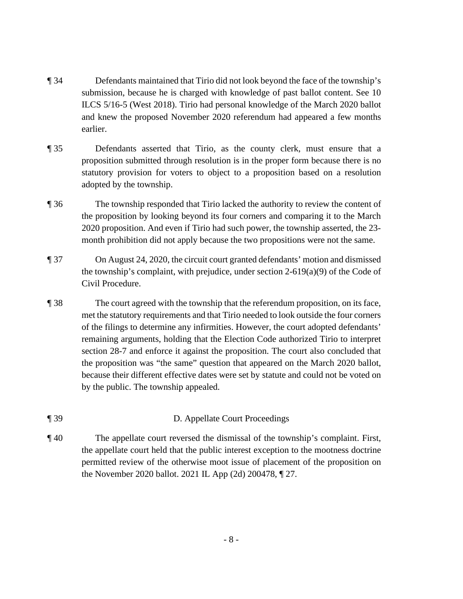- ¶ 34 Defendants maintained that Tirio did not look beyond the face of the township's submission, because he is charged with knowledge of past ballot content. See 10 ILCS 5/16-5 (West 2018). Tirio had personal knowledge of the March 2020 ballot and knew the proposed November 2020 referendum had appeared a few months earlier.
- ¶ 35 Defendants asserted that Tirio, as the county clerk, must ensure that a proposition submitted through resolution is in the proper form because there is no statutory provision for voters to object to a proposition based on a resolution adopted by the township.
- ¶ 36 The township responded that Tirio lacked the authority to review the content of the proposition by looking beyond its four corners and comparing it to the March 2020 proposition. And even if Tirio had such power, the township asserted, the 23 month prohibition did not apply because the two propositions were not the same.
- ¶ 37 On August 24, 2020, the circuit court granted defendants' motion and dismissed the township's complaint, with prejudice, under section  $2-619(a)(9)$  of the Code of Civil Procedure.
- ¶ 38 The court agreed with the township that the referendum proposition, on its face, met the statutory requirements and that Tirio needed to look outside the four corners of the filings to determine any infirmities. However, the court adopted defendants' remaining arguments, holding that the Election Code authorized Tirio to interpret section 28-7 and enforce it against the proposition. The court also concluded that the proposition was "the same" question that appeared on the March 2020 ballot, because their different effective dates were set by statute and could not be voted on by the public. The township appealed.
- ¶ 39 D. Appellate Court Proceedings
- ¶ 40 The appellate court reversed the dismissal of the township's complaint. First, the appellate court held that the public interest exception to the mootness doctrine permitted review of the otherwise moot issue of placement of the proposition on the November 2020 ballot. 2021 IL App (2d) 200478, ¶ 27.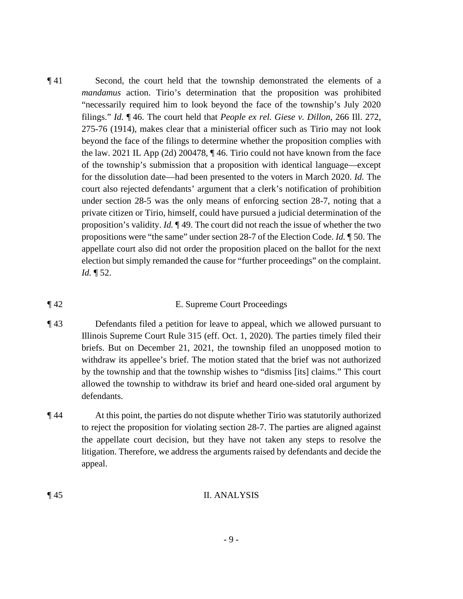¶ 41 Second, the court held that the township demonstrated the elements of a *mandamus* action. Tirio's determination that the proposition was prohibited "necessarily required him to look beyond the face of the township's July 2020 filings." *Id.* ¶ 46. The court held that *People ex rel. Giese v. Dillon*, 266 Ill. 272, 275-76 (1914), makes clear that a ministerial officer such as Tirio may not look beyond the face of the filings to determine whether the proposition complies with the law. 2021 IL App (2d) 200478, ¶ 46. Tirio could not have known from the face of the township's submission that a proposition with identical language—except for the dissolution date—had been presented to the voters in March 2020. *Id.* The court also rejected defendants' argument that a clerk's notification of prohibition under section 28-5 was the only means of enforcing section 28-7, noting that a private citizen or Tirio, himself, could have pursued a judicial determination of the proposition's validity. *Id.* ¶ 49. The court did not reach the issue of whether the two propositions were "the same" under section 28-7 of the Election Code. *Id.* ¶ 50. The appellate court also did not order the proposition placed on the ballot for the next election but simply remanded the cause for "further proceedings" on the complaint. *Id.* ¶ 52.

#### ¶ 42 E. Supreme Court Proceedings

- ¶ 43 Defendants filed a petition for leave to appeal, which we allowed pursuant to Illinois Supreme Court Rule 315 (eff. Oct. 1, 2020). The parties timely filed their briefs. But on December 21, 2021, the township filed an unopposed motion to withdraw its appellee's brief. The motion stated that the brief was not authorized by the township and that the township wishes to "dismiss [its] claims." This court allowed the township to withdraw its brief and heard one-sided oral argument by defendants.
- ¶ 44 At this point, the parties do not dispute whether Tirio was statutorily authorized to reject the proposition for violating section 28-7. The parties are aligned against the appellate court decision, but they have not taken any steps to resolve the litigation. Therefore, we address the arguments raised by defendants and decide the appeal.

#### ¶ 45 II. ANALYSIS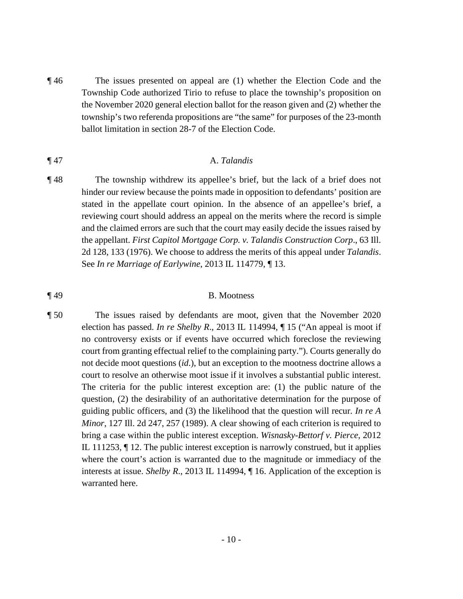¶ 46 The issues presented on appeal are (1) whether the Election Code and the Township Code authorized Tirio to refuse to place the township's proposition on the November 2020 general election ballot for the reason given and (2) whether the township's two referenda propositions are "the same" for purposes of the 23-month ballot limitation in section 28-7 of the Election Code.

#### ¶ 47 A. *Talandis*

¶ 48 The township withdrew its appellee's brief, but the lack of a brief does not hinder our review because the points made in opposition to defendants' position are stated in the appellate court opinion. In the absence of an appellee's brief, a reviewing court should address an appeal on the merits where the record is simple and the claimed errors are such that the court may easily decide the issues raised by the appellant. *First Capitol Mortgage Corp. v. Talandis Construction Corp*., 63 Ill. 2d 128, 133 (1976). We choose to address the merits of this appeal under *Talandis*. See *In re Marriage of Earlywine*, 2013 IL 114779, ¶ 13.

#### ¶ 49 B. Mootness

¶ 50 The issues raised by defendants are moot, given that the November 2020 election has passed. *In re Shelby R*., 2013 IL 114994, ¶ 15 ("An appeal is moot if no controversy exists or if events have occurred which foreclose the reviewing court from granting effectual relief to the complaining party."). Courts generally do not decide moot questions (*id*.), but an exception to the mootness doctrine allows a court to resolve an otherwise moot issue if it involves a substantial public interest. The criteria for the public interest exception are: (1) the public nature of the question, (2) the desirability of an authoritative determination for the purpose of guiding public officers, and (3) the likelihood that the question will recur. *In re A Minor*, 127 Ill. 2d 247, 257 (1989). A clear showing of each criterion is required to bring a case within the public interest exception. *Wisnasky-Bettorf v. Pierce*, 2012 IL 111253, ¶ 12. The public interest exception is narrowly construed, but it applies where the court's action is warranted due to the magnitude or immediacy of the interests at issue. *Shelby R*., 2013 IL 114994, ¶ 16. Application of the exception is warranted here.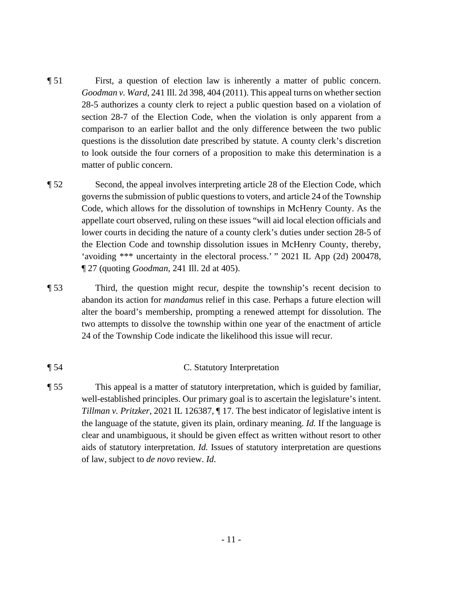- ¶ 51 First, a question of election law is inherently a matter of public concern. *Goodman v. Ward*, 241 Ill. 2d 398, 404 (2011). This appeal turns on whether section 28-5 authorizes a county clerk to reject a public question based on a violation of section 28-7 of the Election Code, when the violation is only apparent from a comparison to an earlier ballot and the only difference between the two public questions is the dissolution date prescribed by statute. A county clerk's discretion to look outside the four corners of a proposition to make this determination is a matter of public concern.
- ¶ 52 Second, the appeal involves interpreting article 28 of the Election Code, which governs the submission of public questions to voters, and article 24 of the Township Code, which allows for the dissolution of townships in McHenry County. As the appellate court observed, ruling on these issues "will aid local election officials and lower courts in deciding the nature of a county clerk's duties under section 28-5 of the Election Code and township dissolution issues in McHenry County, thereby, 'avoiding \*\*\* uncertainty in the electoral process.' " 2021 IL App (2d) 200478, ¶ 27 (quoting *Goodman*, 241 Ill. 2d at 405).
- ¶ 53 Third, the question might recur, despite the township's recent decision to abandon its action for *mandamus* relief in this case. Perhaps a future election will alter the board's membership, prompting a renewed attempt for dissolution. The two attempts to dissolve the township within one year of the enactment of article 24 of the Township Code indicate the likelihood this issue will recur.

## ¶ 54 C. Statutory Interpretation

¶ 55 This appeal is a matter of statutory interpretation, which is guided by familiar, well-established principles. Our primary goal is to ascertain the legislature's intent. *Tillman v. Pritzker*, 2021 IL 126387, ¶ 17. The best indicator of legislative intent is the language of the statute, given its plain, ordinary meaning. *Id.* If the language is clear and unambiguous, it should be given effect as written without resort to other aids of statutory interpretation. *Id.* Issues of statutory interpretation are questions of law, subject to *de novo* review. *Id*.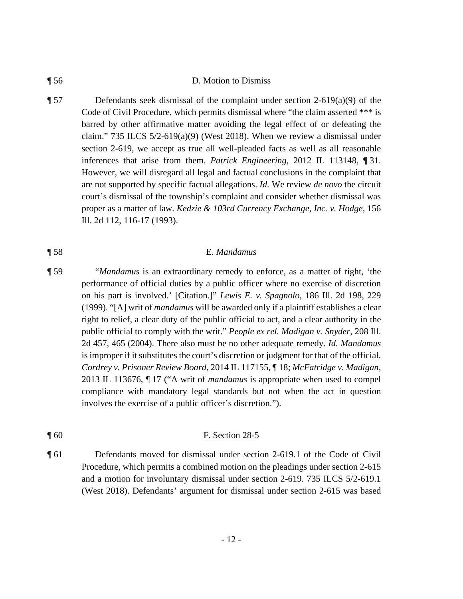#### ¶ 56 D. Motion to Dismiss

¶ 57 Defendants seek dismissal of the complaint under section 2-619(a)(9) of the Code of Civil Procedure, which permits dismissal where "the claim asserted \*\*\* is barred by other affirmative matter avoiding the legal effect of or defeating the claim." 735 ILCS  $5/2-619(a)(9)$  (West 2018). When we review a dismissal under section 2-619, we accept as true all well-pleaded facts as well as all reasonable inferences that arise from them. *Patrick Engineering*, 2012 IL 113148, ¶ 31. However, we will disregard all legal and factual conclusions in the complaint that are not supported by specific factual allegations. *Id.* We review *de novo* the circuit court's dismissal of the township's complaint and consider whether dismissal was proper as a matter of law. *Kedzie & 103rd Currency Exchange, Inc. v. Hodge*, 156 Ill. 2d 112, 116-17 (1993).

#### ¶ 58 E. *Mandamus*

- ¶ 59 "*Mandamus* is an extraordinary remedy to enforce, as a matter of right, 'the performance of official duties by a public officer where no exercise of discretion on his part is involved.' [Citation.]" *Lewis E. v. Spagnolo*, 186 Ill. 2d 198, 229 (1999). "[A] writ of *mandamus* will be awarded only if a plaintiff establishes a clear right to relief, a clear duty of the public official to act, and a clear authority in the public official to comply with the writ." *People ex rel. Madigan v. Snyder*, 208 Ill. 2d 457, 465 (2004). There also must be no other adequate remedy. *Id. Mandamus* is improper if it substitutes the court's discretion or judgment for that of the official. *Cordrey v. Prisoner Review Board*, 2014 IL 117155, ¶ 18; *McFatridge v. Madigan*, 2013 IL 113676, ¶ 17 ("A writ of *mandamus* is appropriate when used to compel compliance with mandatory legal standards but not when the act in question involves the exercise of a public officer's discretion.").
- ¶ 60 F. Section 28-5
- ¶ 61 Defendants moved for dismissal under section 2-619.1 of the Code of Civil Procedure, which permits a combined motion on the pleadings under section 2-615 and a motion for involuntary dismissal under section 2-619. 735 ILCS 5/2-619.1 (West 2018). Defendants' argument for dismissal under section 2-615 was based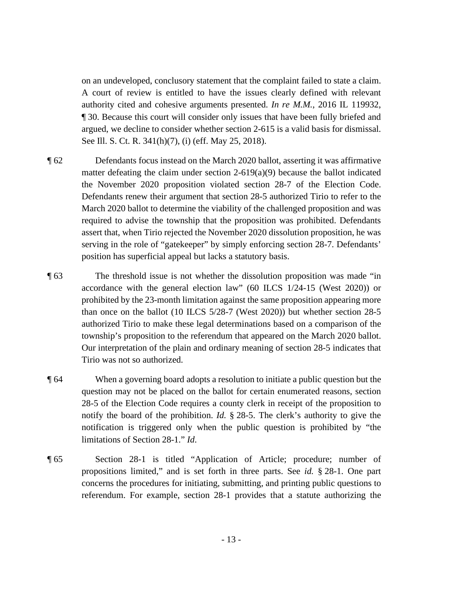on an undeveloped, conclusory statement that the complaint failed to state a claim. A court of review is entitled to have the issues clearly defined with relevant authority cited and cohesive arguments presented. *In re M.M.*, 2016 IL 119932, ¶ 30. Because this court will consider only issues that have been fully briefed and argued, we decline to consider whether section 2-615 is a valid basis for dismissal. See Ill. S. Ct. R. 341(h)(7), (i) (eff. May 25, 2018).

- ¶ 62 Defendants focus instead on the March 2020 ballot, asserting it was affirmative matter defeating the claim under section  $2-619(a)(9)$  because the ballot indicated the November 2020 proposition violated section 28-7 of the Election Code. Defendants renew their argument that section 28-5 authorized Tirio to refer to the March 2020 ballot to determine the viability of the challenged proposition and was required to advise the township that the proposition was prohibited. Defendants assert that, when Tirio rejected the November 2020 dissolution proposition, he was serving in the role of "gatekeeper" by simply enforcing section 28-7. Defendants' position has superficial appeal but lacks a statutory basis.
- ¶ 63 The threshold issue is not whether the dissolution proposition was made "in accordance with the general election law" (60 ILCS 1/24-15 (West 2020)) or prohibited by the 23-month limitation against the same proposition appearing more than once on the ballot (10 ILCS 5/28-7 (West 2020)) but whether section 28-5 authorized Tirio to make these legal determinations based on a comparison of the township's proposition to the referendum that appeared on the March 2020 ballot. Our interpretation of the plain and ordinary meaning of section 28-5 indicates that Tirio was not so authorized.
- ¶ 64 When a governing board adopts a resolution to initiate a public question but the question may not be placed on the ballot for certain enumerated reasons, section 28-5 of the Election Code requires a county clerk in receipt of the proposition to notify the board of the prohibition. *Id.* § 28-5. The clerk's authority to give the notification is triggered only when the public question is prohibited by "the limitations of Section 28-1." *Id*.
- ¶ 65 Section 28-1 is titled "Application of Article; procedure; number of propositions limited," and is set forth in three parts. See *id.* § 28-1. One part concerns the procedures for initiating, submitting, and printing public questions to referendum. For example, section 28-1 provides that a statute authorizing the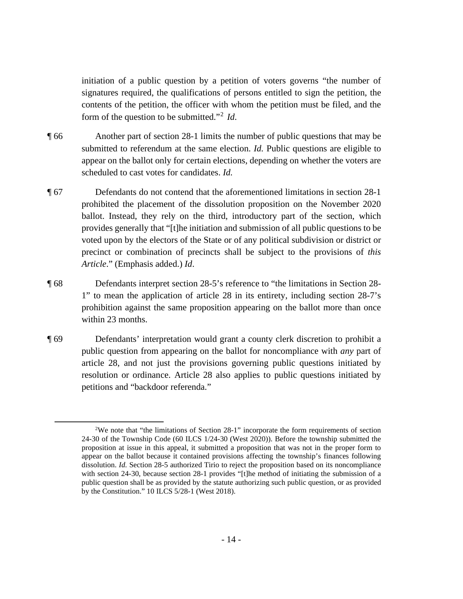initiation of a public question by a petition of voters governs "the number of signatures required, the qualifications of persons entitled to sign the petition, the contents of the petition, the officer with whom the petition must be filed, and the form of the question to be submitted."<sup>2</sup> *Id*.

- ¶ 66 Another part of section 28-1 limits the number of public questions that may be submitted to referendum at the same election. *Id.* Public questions are eligible to appear on the ballot only for certain elections, depending on whether the voters are scheduled to cast votes for candidates. *Id.*
- ¶ 67 Defendants do not contend that the aforementioned limitations in section 28-1 prohibited the placement of the dissolution proposition on the November 2020 ballot. Instead, they rely on the third, introductory part of the section, which provides generally that "[t]he initiation and submission of all public questions to be voted upon by the electors of the State or of any political subdivision or district or precinct or combination of precincts shall be subject to the provisions of *this Article*." (Emphasis added.) *Id*.
- ¶ 68 Defendants interpret section 28-5's reference to "the limitations in Section 28- 1" to mean the application of article 28 in its entirety, including section 28-7's prohibition against the same proposition appearing on the ballot more than once within 23 months.
- ¶ 69 Defendants' interpretation would grant a county clerk discretion to prohibit a public question from appearing on the ballot for noncompliance with *any* part of article 28, and not just the provisions governing public questions initiated by resolution or ordinance. Article 28 also applies to public questions initiated by petitions and "backdoor referenda."

<sup>&</sup>lt;sup>2</sup>We note that "the limitations of Section 28-1" incorporate the form requirements of section 24-30 of the Township Code (60 ILCS 1/24-30 (West 2020)). Before the township submitted the proposition at issue in this appeal, it submitted a proposition that was not in the proper form to appear on the ballot because it contained provisions affecting the township's finances following dissolution. *Id.* Section 28-5 authorized Tirio to reject the proposition based on its noncompliance with section 24-30, because section 28-1 provides "[t]he method of initiating the submission of a public question shall be as provided by the statute authorizing such public question, or as provided by the Constitution." 10 ILCS 5/28-1 (West 2018).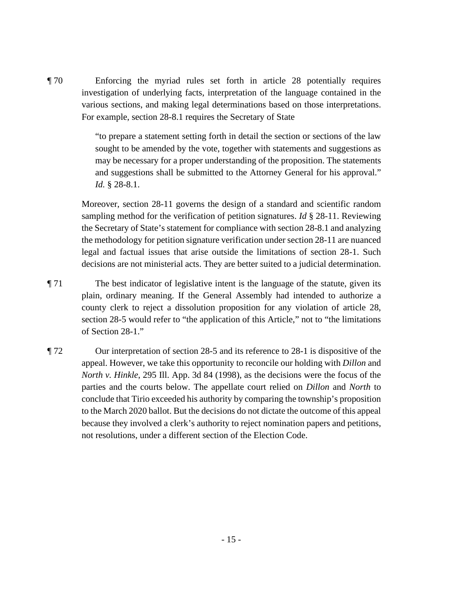¶ 70 Enforcing the myriad rules set forth in article 28 potentially requires investigation of underlying facts, interpretation of the language contained in the various sections, and making legal determinations based on those interpretations. For example, section 28-8.1 requires the Secretary of State

> "to prepare a statement setting forth in detail the section or sections of the law sought to be amended by the vote, together with statements and suggestions as may be necessary for a proper understanding of the proposition. The statements and suggestions shall be submitted to the Attorney General for his approval." *Id.* § 28-8.1.

Moreover, section 28-11 governs the design of a standard and scientific random sampling method for the verification of petition signatures. *Id* § 28-11. Reviewing the Secretary of State's statement for compliance with section 28-8.1 and analyzing the methodology for petition signature verification under section 28-11 are nuanced legal and factual issues that arise outside the limitations of section 28-1. Such decisions are not ministerial acts. They are better suited to a judicial determination.

- ¶ 71 The best indicator of legislative intent is the language of the statute, given its plain, ordinary meaning. If the General Assembly had intended to authorize a county clerk to reject a dissolution proposition for any violation of article 28, section 28-5 would refer to "the application of this Article," not to "the limitations of Section 28-1."
- ¶ 72 Our interpretation of section 28-5 and its reference to 28-1 is dispositive of the appeal. However, we take this opportunity to reconcile our holding with *Dillon* and *North v. Hinkle*, 295 Ill. App. 3d 84 (1998), as the decisions were the focus of the parties and the courts below. The appellate court relied on *Dillon* and *North* to conclude that Tirio exceeded his authority by comparing the township's proposition to the March 2020 ballot. But the decisions do not dictate the outcome of this appeal because they involved a clerk's authority to reject nomination papers and petitions, not resolutions, under a different section of the Election Code.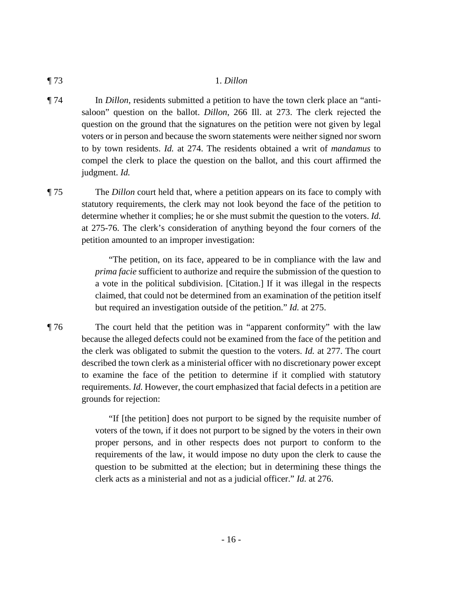#### ¶ 73 1. *Dillon*

- ¶ 74 In *Dillon*, residents submitted a petition to have the town clerk place an "antisaloon" question on the ballot. *Dillon*, 266 Ill. at 273. The clerk rejected the question on the ground that the signatures on the petition were not given by legal voters or in person and because the sworn statements were neither signed nor sworn to by town residents. *Id.* at 274. The residents obtained a writ of *mandamus* to compel the clerk to place the question on the ballot, and this court affirmed the judgment. *Id.*
- ¶ 75 The *Dillon* court held that, where a petition appears on its face to comply with statutory requirements, the clerk may not look beyond the face of the petition to determine whether it complies; he or she must submit the question to the voters. *Id.* at 275-76. The clerk's consideration of anything beyond the four corners of the petition amounted to an improper investigation:

"The petition, on its face, appeared to be in compliance with the law and *prima facie* sufficient to authorize and require the submission of the question to a vote in the political subdivision. [Citation.] If it was illegal in the respects claimed, that could not be determined from an examination of the petition itself but required an investigation outside of the petition." *Id.* at 275.

¶ 76 The court held that the petition was in "apparent conformity" with the law because the alleged defects could not be examined from the face of the petition and the clerk was obligated to submit the question to the voters. *Id.* at 277. The court described the town clerk as a ministerial officer with no discretionary power except to examine the face of the petition to determine if it complied with statutory requirements. *Id.* However, the court emphasized that facial defects in a petition are grounds for rejection:

> "If [the petition] does not purport to be signed by the requisite number of voters of the town, if it does not purport to be signed by the voters in their own proper persons, and in other respects does not purport to conform to the requirements of the law, it would impose no duty upon the clerk to cause the question to be submitted at the election; but in determining these things the clerk acts as a ministerial and not as a judicial officer." *Id.* at 276.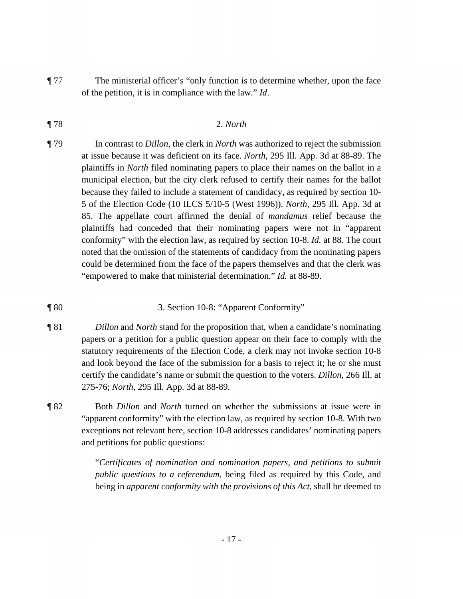¶ 77 The ministerial officer's "only function is to determine whether, upon the face of the petition, it is in compliance with the law." *Id*.

# ¶ 78 2. *North*

- ¶ 79 In contrast to *Dillon*, the clerk in *North* was authorized to reject the submission at issue because it was deficient on its face. *North*, 295 Ill. App. 3d at 88-89. The plaintiffs in *North* filed nominating papers to place their names on the ballot in a municipal election, but the city clerk refused to certify their names for the ballot because they failed to include a statement of candidacy, as required by section 10- 5 of the Election Code (10 ILCS 5/10-5 (West 1996)). *North*, 295 Ill. App. 3d at 85. The appellate court affirmed the denial of *mandamus* relief because the plaintiffs had conceded that their nominating papers were not in "apparent conformity" with the election law, as required by section 10-8. *Id.* at 88. The court noted that the omission of the statements of candidacy from the nominating papers could be determined from the face of the papers themselves and that the clerk was "empowered to make that ministerial determination." *Id.* at 88-89.
- ¶ 80 3. Section 10-8: "Apparent Conformity"
- ¶ 81 *Dillon* and *North* stand for the proposition that, when a candidate's nominating papers or a petition for a public question appear on their face to comply with the statutory requirements of the Election Code, a clerk may not invoke section 10-8 and look beyond the face of the submission for a basis to reject it; he or she must certify the candidate's name or submit the question to the voters. *Dillon*, 266 Ill. at 275-76; *North*, 295 Ill. App. 3d at 88-89.
- ¶ 82 Both *Dillon* and *North* turned on whether the submissions at issue were in "apparent conformity" with the election law, as required by section 10-8. With two exceptions not relevant here, section 10-8 addresses candidates' nominating papers and petitions for public questions:

"*Certificates of nomination and nomination papers, and petitions to submit public questions to a referendum*, being filed as required by this Code, and being in *apparent conformity with the provisions of this Act*, shall be deemed to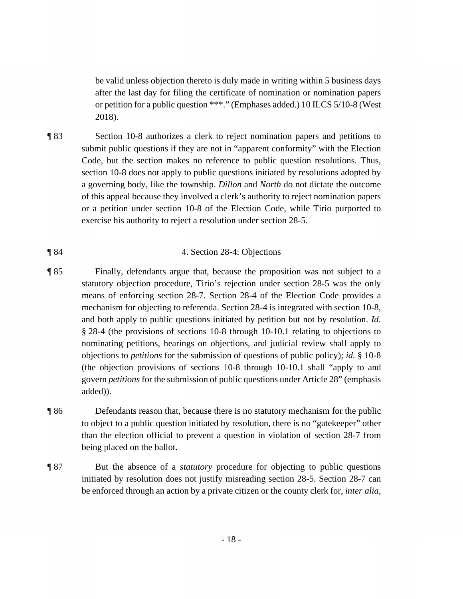be valid unless objection thereto is duly made in writing within 5 business days after the last day for filing the certificate of nomination or nomination papers or petition for a public question \*\*\*." (Emphases added.) 10 ILCS 5/10-8 (West 2018).

¶ 83 Section 10-8 authorizes a clerk to reject nomination papers and petitions to submit public questions if they are not in "apparent conformity" with the Election Code, but the section makes no reference to public question resolutions. Thus, section 10-8 does not apply to public questions initiated by resolutions adopted by a governing body, like the township. *Dillon* and *North* do not dictate the outcome of this appeal because they involved a clerk's authority to reject nomination papers or a petition under section 10-8 of the Election Code, while Tirio purported to exercise his authority to reject a resolution under section 28-5.

### ¶ 84 4. Section 28-4: Objections

- ¶ 85 Finally, defendants argue that, because the proposition was not subject to a statutory objection procedure, Tirio's rejection under section 28-5 was the only means of enforcing section 28-7. Section 28-4 of the Election Code provides a mechanism for objecting to referenda. Section 28-4 is integrated with section 10-8, and both apply to public questions initiated by petition but not by resolution. *Id.*  § 28-4 (the provisions of sections 10-8 through 10-10.1 relating to objections to nominating petitions, hearings on objections, and judicial review shall apply to objections to *petitions* for the submission of questions of public policy); *id.* § 10-8 (the objection provisions of sections 10-8 through 10-10.1 shall "apply to and govern *petitions* for the submission of public questions under Article 28" (emphasis added)).
- ¶ 86 Defendants reason that, because there is no statutory mechanism for the public to object to a public question initiated by resolution, there is no "gatekeeper" other than the election official to prevent a question in violation of section 28-7 from being placed on the ballot.
- ¶ 87 But the absence of a *statutory* procedure for objecting to public questions initiated by resolution does not justify misreading section 28-5. Section 28-7 can be enforced through an action by a private citizen or the county clerk for, *inter alia*,